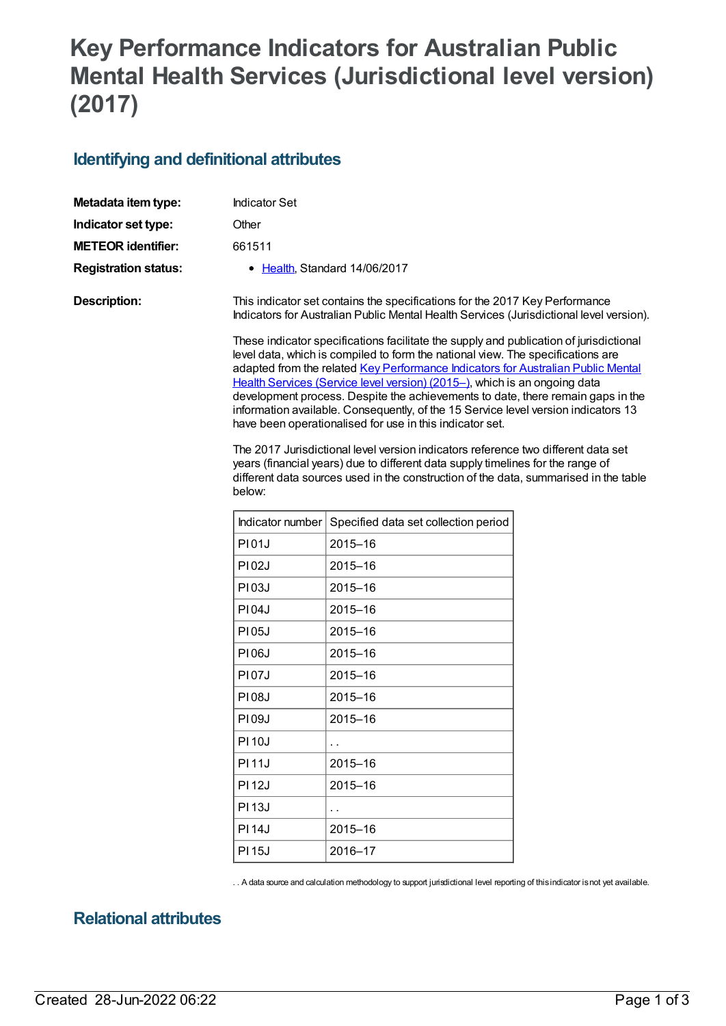# **Key Performance Indicators for Australian Public Mental Health Services (Jurisdictional level version) (2017)**

#### **Identifying and definitional attributes**

| Metadata item type:         | <b>Indicator Set</b>                                                                                                                                                                                                                                                                                                                                                                                                                                                                                                                                                                                                                                                                                                                                                                                                                                                                                                                                                                                                                |                                      |  |
|-----------------------------|-------------------------------------------------------------------------------------------------------------------------------------------------------------------------------------------------------------------------------------------------------------------------------------------------------------------------------------------------------------------------------------------------------------------------------------------------------------------------------------------------------------------------------------------------------------------------------------------------------------------------------------------------------------------------------------------------------------------------------------------------------------------------------------------------------------------------------------------------------------------------------------------------------------------------------------------------------------------------------------------------------------------------------------|--------------------------------------|--|
| Indicator set type:         | Other                                                                                                                                                                                                                                                                                                                                                                                                                                                                                                                                                                                                                                                                                                                                                                                                                                                                                                                                                                                                                               |                                      |  |
| <b>METEOR identifier:</b>   | 661511                                                                                                                                                                                                                                                                                                                                                                                                                                                                                                                                                                                                                                                                                                                                                                                                                                                                                                                                                                                                                              |                                      |  |
| <b>Registration status:</b> |                                                                                                                                                                                                                                                                                                                                                                                                                                                                                                                                                                                                                                                                                                                                                                                                                                                                                                                                                                                                                                     | • Health, Standard 14/06/2017        |  |
| <b>Description:</b>         | This indicator set contains the specifications for the 2017 Key Performance<br>Indicators for Australian Public Mental Health Services (Jurisdictional level version).<br>These indicator specifications facilitate the supply and publication of jurisdictional<br>level data, which is compiled to form the national view. The specifications are<br>adapted from the related Key Performance Indicators for Australian Public Mental<br>Health Services (Service level version) (2015-), which is an ongoing data<br>development process. Despite the achievements to date, there remain gaps in the<br>information available. Consequently, of the 15 Service level version indicators 13<br>have been operationalised for use in this indicator set.<br>The 2017 Jurisdictional level version indicators reference two different data set<br>years (financial years) due to different data supply timelines for the range of<br>different data sources used in the construction of the data, summarised in the table<br>below: |                                      |  |
|                             |                                                                                                                                                                                                                                                                                                                                                                                                                                                                                                                                                                                                                                                                                                                                                                                                                                                                                                                                                                                                                                     |                                      |  |
|                             | Indicator number                                                                                                                                                                                                                                                                                                                                                                                                                                                                                                                                                                                                                                                                                                                                                                                                                                                                                                                                                                                                                    | Specified data set collection period |  |
|                             | <b>PI01J</b>                                                                                                                                                                                                                                                                                                                                                                                                                                                                                                                                                                                                                                                                                                                                                                                                                                                                                                                                                                                                                        | 2015-16                              |  |
|                             | <b>PI02J</b>                                                                                                                                                                                                                                                                                                                                                                                                                                                                                                                                                                                                                                                                                                                                                                                                                                                                                                                                                                                                                        | $2015 - 16$                          |  |
|                             | P103J                                                                                                                                                                                                                                                                                                                                                                                                                                                                                                                                                                                                                                                                                                                                                                                                                                                                                                                                                                                                                               | $2015 - 16$                          |  |
|                             | <b>PI04J</b>                                                                                                                                                                                                                                                                                                                                                                                                                                                                                                                                                                                                                                                                                                                                                                                                                                                                                                                                                                                                                        | $2015 - 16$                          |  |
|                             | <b>PI05J</b>                                                                                                                                                                                                                                                                                                                                                                                                                                                                                                                                                                                                                                                                                                                                                                                                                                                                                                                                                                                                                        | 2015-16                              |  |

PI06J | 2015–16 PI07J | 2015–16 PI08J | 2015–16 PI09J |2015-16  $P110J$   $\Big\}$ . PI 11J 2015–16 PI 12J 2015–16  $PI 13J$   $\left| \right|$ . PI 14J 2015–16 PI 15J 2016–17

. . A data source and calculation methodology to support jurisdictional level reporting of thisindicator isnot yet available.

#### **Relational attributes**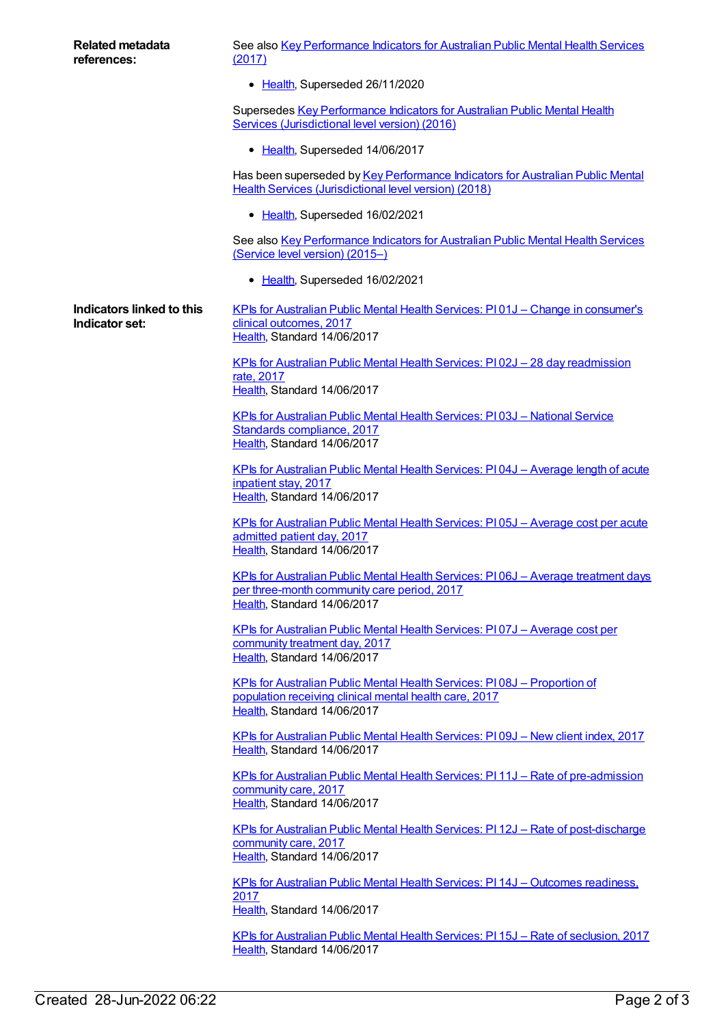See also Key [Performance](https://meteor.aihw.gov.au/content/664057) Indicators for Australian Public Mental Health Services (2017)

• [Health](https://meteor.aihw.gov.au/RegistrationAuthority/12), Superseded 26/11/2020

Supersedes Key [Performance](https://meteor.aihw.gov.au/content/630262) Indicators for Australian Public Mental Health Services (Jurisdictional level version) (2016)

• [Health](https://meteor.aihw.gov.au/RegistrationAuthority/12), Superseded 14/06/2017

Has been superseded by Key [Performance](https://meteor.aihw.gov.au/content/693022) Indicators for Australian Public Mental Health Services (Jurisdictional level version) (2018)

• [Health](https://meteor.aihw.gov.au/RegistrationAuthority/12), Superseded 16/02/2021

See also Key [Performance](https://meteor.aihw.gov.au/content/598184) Indicators for Australian Public Mental Health Services (Service level version) (2015–)

• [Health](https://meteor.aihw.gov.au/RegistrationAuthority/12), Superseded 16/02/2021

**Indicators linked to this Indicator set:** KPIs for Australian Public Mental Health Services: PI 01J – Change in [consumer's](https://meteor.aihw.gov.au/content/663800) clinical outcomes, 2017 [Health](https://meteor.aihw.gov.au/RegistrationAuthority/12), Standard 14/06/2017

> KPIs for Australian Public Mental Health Services: PI 02J – 28 day [readmission](https://meteor.aihw.gov.au/content/663806) rate, 2017 [Health](https://meteor.aihw.gov.au/RegistrationAuthority/12), Standard 14/06/2017

KPIs for Australian Public Mental Health Services: PI 03J – National Service Standards [compliance,](https://meteor.aihw.gov.au/content/663808) 2017 [Health](https://meteor.aihw.gov.au/RegistrationAuthority/12), Standard 14/06/2017

KPIs for [Australian](https://meteor.aihw.gov.au/content/663813) Public Mental Health Services: PI 04J – Average length of acute inpatient stay, 2017 [Health](https://meteor.aihw.gov.au/RegistrationAuthority/12), Standard 14/06/2017

KPIs for [Australian](https://meteor.aihw.gov.au/content/663815) Public Mental Health Services: PI 05J – Average cost per acute admitted patient day, 2017 [Health](https://meteor.aihw.gov.au/RegistrationAuthority/12), Standard 14/06/2017

KPIs for [Australian](https://meteor.aihw.gov.au/content/663819) Public Mental Health Services: PI 06J – Average treatment days per three-month community care period, 2017 [Health](https://meteor.aihw.gov.au/RegistrationAuthority/12), Standard 14/06/2017

KPIs for [Australian](https://meteor.aihw.gov.au/content/663822) Public Mental Health Services: PI 07J – Average cost per community treatment day, 2017 [Health](https://meteor.aihw.gov.au/RegistrationAuthority/12), Standard 14/06/2017

KPIs for Australian Public Mental Health Services: PI 08J – [Proportion](https://meteor.aihw.gov.au/content/663825) of population receiving clinical mental health care, 2017 [Health](https://meteor.aihw.gov.au/RegistrationAuthority/12), Standard 14/06/2017

KPIs for [Australian](https://meteor.aihw.gov.au/content/663834) Public Mental Health Services: PI 09J – New client index, 2017 [Health](https://meteor.aihw.gov.au/RegistrationAuthority/12), Standard 14/06/2017

KPIs for Australian Public Mental Health Services: PI 11J – Rate of [pre-admission](https://meteor.aihw.gov.au/content/663836) community care, 2017 [Health](https://meteor.aihw.gov.au/RegistrationAuthority/12), Standard 14/06/2017

KPIs for Australian Public Mental Health Services: PI 12J – Rate of [post-discharge](https://meteor.aihw.gov.au/content/663838) community care, 2017 [Health](https://meteor.aihw.gov.au/RegistrationAuthority/12), Standard 14/06/2017

KPIs for Australian Public Mental Health Services: PI 14J – Outcomes [readiness,](https://meteor.aihw.gov.au/content/663840) 2017 [Health](https://meteor.aihw.gov.au/RegistrationAuthority/12), Standard 14/06/2017

KPIs for [Australian](https://meteor.aihw.gov.au/content/663842) Public Mental Health Services: PI 15J – Rate of seclusion, 2017 [Health](https://meteor.aihw.gov.au/RegistrationAuthority/12), Standard 14/06/2017